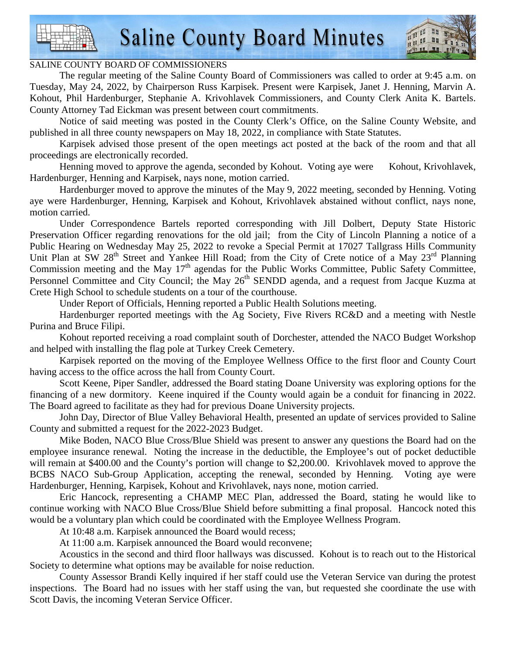

#### SALINE COUNTY BOARD OF COMMISSIONERS

 The regular meeting of the Saline County Board of Commissioners was called to order at 9:45 a.m. on Tuesday, May 24, 2022, by Chairperson Russ Karpisek. Present were Karpisek, Janet J. Henning, Marvin A. Kohout, Phil Hardenburger, Stephanie A. Krivohlavek Commissioners, and County Clerk Anita K. Bartels. County Attorney Tad Eickman was present between court commitments.

 Notice of said meeting was posted in the County Clerk's Office, on the Saline County Website, and published in all three county newspapers on May 18, 2022, in compliance with State Statutes.

 Karpisek advised those present of the open meetings act posted at the back of the room and that all proceedings are electronically recorded.

Henning moved to approve the agenda, seconded by Kohout. Voting aye were Kohout, Krivohlavek, Hardenburger, Henning and Karpisek, nays none, motion carried.

 Hardenburger moved to approve the minutes of the May 9, 2022 meeting, seconded by Henning. Voting aye were Hardenburger, Henning, Karpisek and Kohout, Krivohlavek abstained without conflict, nays none, motion carried.

 Under Correspondence Bartels reported corresponding with Jill Dolbert, Deputy State Historic Preservation Officer regarding renovations for the old jail; from the City of Lincoln Planning a notice of a Public Hearing on Wednesday May 25, 2022 to revoke a Special Permit at 17027 Tallgrass Hills Community Unit Plan at SW 28<sup>th</sup> Street and Yankee Hill Road; from the City of Crete notice of a May 23<sup>rd</sup> Planning Commission meeting and the May  $17<sup>th</sup>$  agendas for the Public Works Committee, Public Safety Committee, Personnel Committee and City Council; the May 26<sup>th</sup> SENDD agenda, and a request from Jacque Kuzma at Crete High School to schedule students on a tour of the courthouse.

Under Report of Officials, Henning reported a Public Health Solutions meeting.

 Hardenburger reported meetings with the Ag Society, Five Rivers RC&D and a meeting with Nestle Purina and Bruce Filipi.

 Kohout reported receiving a road complaint south of Dorchester, attended the NACO Budget Workshop and helped with installing the flag pole at Turkey Creek Cemetery.

 Karpisek reported on the moving of the Employee Wellness Office to the first floor and County Court having access to the office across the hall from County Court.

 Scott Keene, Piper Sandler, addressed the Board stating Doane University was exploring options for the financing of a new dormitory. Keene inquired if the County would again be a conduit for financing in 2022. The Board agreed to facilitate as they had for previous Doane University projects.

 John Day, Director of Blue Valley Behavioral Health, presented an update of services provided to Saline County and submitted a request for the 2022-2023 Budget.

 Mike Boden, NACO Blue Cross/Blue Shield was present to answer any questions the Board had on the employee insurance renewal. Noting the increase in the deductible, the Employee's out of pocket deductible will remain at \$400.00 and the County's portion will change to \$2,200.00. Krivohlavek moved to approve the BCBS NACO Sub-Group Application, accepting the renewal, seconded by Henning. Voting aye were Hardenburger, Henning, Karpisek, Kohout and Krivohlavek, nays none, motion carried.

 Eric Hancock, representing a CHAMP MEC Plan, addressed the Board, stating he would like to continue working with NACO Blue Cross/Blue Shield before submitting a final proposal. Hancock noted this would be a voluntary plan which could be coordinated with the Employee Wellness Program.

At 10:48 a.m. Karpisek announced the Board would recess;

At 11:00 a.m. Karpisek announced the Board would reconvene;

 Acoustics in the second and third floor hallways was discussed. Kohout is to reach out to the Historical Society to determine what options may be available for noise reduction.

 County Assessor Brandi Kelly inquired if her staff could use the Veteran Service van during the protest inspections. The Board had no issues with her staff using the van, but requested she coordinate the use with Scott Davis, the incoming Veteran Service Officer.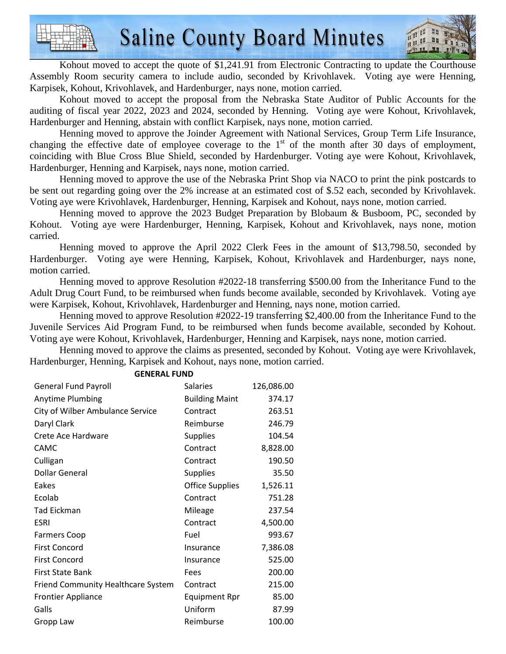

Kohout moved to accept the quote of \$1,241.91 from Electronic Contracting to update the Courthouse Assembly Room security camera to include audio, seconded by Krivohlavek. Voting aye were Henning, Karpisek, Kohout, Krivohlavek, and Hardenburger, nays none, motion carried.

 Kohout moved to accept the proposal from the Nebraska State Auditor of Public Accounts for the auditing of fiscal year 2022, 2023 and 2024, seconded by Henning. Voting aye were Kohout, Krivohlavek, Hardenburger and Henning, abstain with conflict Karpisek, nays none, motion carried.

 Henning moved to approve the Joinder Agreement with National Services, Group Term Life Insurance, changing the effective date of employee coverage to the  $1<sup>st</sup>$  of the month after 30 days of employment, coinciding with Blue Cross Blue Shield, seconded by Hardenburger. Voting aye were Kohout, Krivohlavek, Hardenburger, Henning and Karpisek, nays none, motion carried.

 Henning moved to approve the use of the Nebraska Print Shop via NACO to print the pink postcards to be sent out regarding going over the 2% increase at an estimated cost of \$.52 each, seconded by Krivohlavek. Voting aye were Krivohlavek, Hardenburger, Henning, Karpisek and Kohout, nays none, motion carried.

 Henning moved to approve the 2023 Budget Preparation by Blobaum & Busboom, PC, seconded by Kohout. Voting aye were Hardenburger, Henning, Karpisek, Kohout and Krivohlavek, nays none, motion carried.

 Henning moved to approve the April 2022 Clerk Fees in the amount of \$13,798.50, seconded by Hardenburger. Voting aye were Henning, Karpisek, Kohout, Krivohlavek and Hardenburger, nays none, motion carried.

 Henning moved to approve Resolution #2022-18 transferring \$500.00 from the Inheritance Fund to the Adult Drug Court Fund, to be reimbursed when funds become available, seconded by Krivohlavek. Voting aye were Karpisek, Kohout, Krivohlavek, Hardenburger and Henning, nays none, motion carried.

 Henning moved to approve Resolution #2022-19 transferring \$2,400.00 from the Inheritance Fund to the Juvenile Services Aid Program Fund, to be reimbursed when funds become available, seconded by Kohout. Voting aye were Kohout, Krivohlavek, Hardenburger, Henning and Karpisek, nays none, motion carried.

 Henning moved to approve the claims as presented, seconded by Kohout. Voting aye were Krivohlavek, Hardenburger, Henning, Karpisek and Kohout, nays none, motion carried.

| <b>General Fund Payroll</b>        | <b>Salaries</b>        | 126,086.00 |
|------------------------------------|------------------------|------------|
| Anytime Plumbing                   | <b>Building Maint</b>  | 374.17     |
| City of Wilber Ambulance Service   | Contract               | 263.51     |
| Daryl Clark                        | Reimburse              | 246.79     |
| Crete Ace Hardware                 | <b>Supplies</b>        | 104.54     |
| <b>CAMC</b>                        | Contract               | 8,828.00   |
| Culligan                           | Contract               | 190.50     |
| <b>Dollar General</b>              | <b>Supplies</b>        | 35.50      |
| Eakes                              | <b>Office Supplies</b> | 1,526.11   |
| Ecolab                             | Contract               | 751.28     |
| <b>Tad Eickman</b>                 | Mileage                | 237.54     |
| <b>ESRI</b>                        | Contract               | 4,500.00   |
| <b>Farmers Coop</b>                | Fuel                   | 993.67     |
| <b>First Concord</b>               | Insurance              | 7,386.08   |
| <b>First Concord</b>               | Insurance              | 525.00     |
| First State Bank                   | Fees                   | 200.00     |
| Friend Community Healthcare System | Contract               | 215.00     |
| <b>Frontier Appliance</b>          | <b>Equipment Rpr</b>   | 85.00      |
| Galls                              | Uniform                | 87.99      |
| Gropp Law                          | Reimburse              | 100.00     |

#### **GENERAL FUND**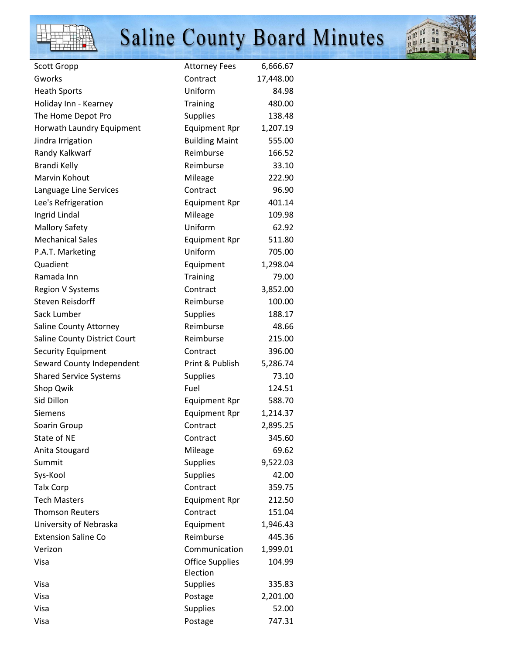



| Scott Gropp                   | <b>Attorney Fees</b>               | 6,666.67  |
|-------------------------------|------------------------------------|-----------|
| Gworks                        | Contract                           | 17,448.00 |
| <b>Heath Sports</b>           | Uniform                            | 84.98     |
| Holiday Inn - Kearney         | <b>Training</b>                    | 480.00    |
| The Home Depot Pro            | <b>Supplies</b>                    | 138.48    |
| Horwath Laundry Equipment     | <b>Equipment Rpr</b>               | 1,207.19  |
| Jindra Irrigation             | <b>Building Maint</b>              | 555.00    |
| Randy Kalkwarf                | Reimburse                          | 166.52    |
| <b>Brandi Kelly</b>           | Reimburse                          | 33.10     |
| Marvin Kohout                 | Mileage                            | 222.90    |
| Language Line Services        | Contract                           | 96.90     |
| Lee's Refrigeration           | <b>Equipment Rpr</b>               | 401.14    |
| Ingrid Lindal                 | Mileage                            | 109.98    |
| <b>Mallory Safety</b>         | Uniform                            | 62.92     |
| <b>Mechanical Sales</b>       | <b>Equipment Rpr</b>               | 511.80    |
| P.A.T. Marketing              | Uniform                            | 705.00    |
| Quadient                      | Equipment                          | 1,298.04  |
| Ramada Inn                    | <b>Training</b>                    | 79.00     |
| <b>Region V Systems</b>       | Contract                           | 3,852.00  |
| Steven Reisdorff              | Reimburse                          | 100.00    |
| Sack Lumber                   | <b>Supplies</b>                    | 188.17    |
| Saline County Attorney        | Reimburse                          | 48.66     |
| Saline County District Court  | Reimburse                          | 215.00    |
| <b>Security Equipment</b>     | Contract                           | 396.00    |
| Seward County Independent     | Print & Publish                    | 5,286.74  |
| <b>Shared Service Systems</b> | <b>Supplies</b>                    | 73.10     |
| Shop Qwik                     | Fuel                               | 124.51    |
| Sid Dillon                    | <b>Equipment Rpr</b>               | 588.70    |
| Siemens                       | <b>Equipment Rpr</b>               | 1,214.37  |
| Soarin Group                  | Contract                           | 2,895.25  |
| State of NE                   | Contract                           | 345.60    |
| Anita Stougard                | Mileage                            | 69.62     |
| Summit                        | <b>Supplies</b>                    | 9,522.03  |
| Sys-Kool                      | <b>Supplies</b>                    | 42.00     |
| <b>Talx Corp</b>              | Contract                           | 359.75    |
| <b>Tech Masters</b>           | <b>Equipment Rpr</b>               | 212.50    |
| <b>Thomson Reuters</b>        | Contract                           | 151.04    |
| University of Nebraska        | Equipment                          | 1,946.43  |
| <b>Extension Saline Co</b>    | Reimburse                          | 445.36    |
| Verizon                       | Communication                      | 1,999.01  |
| Visa                          | <b>Office Supplies</b><br>Election | 104.99    |
| Visa                          | <b>Supplies</b>                    | 335.83    |
| Visa                          | Postage                            | 2,201.00  |
| Visa                          | Supplies                           | 52.00     |
| Visa                          | Postage                            | 747.31    |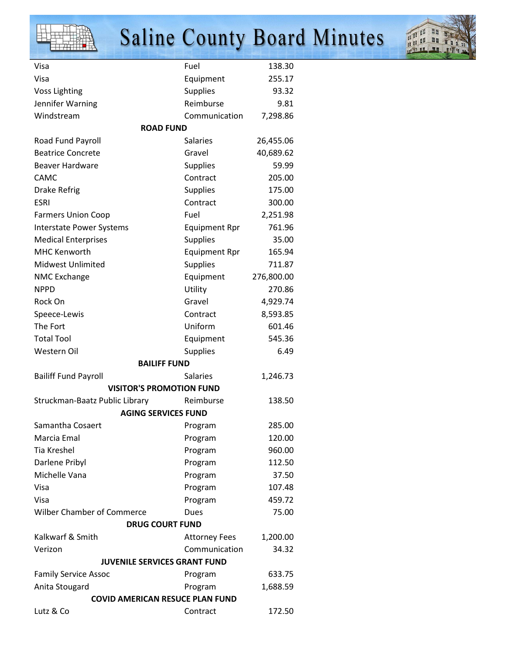



| Visa<br>Visa                                  | Fuel                         | 138.30<br>255.17 |  |
|-----------------------------------------------|------------------------------|------------------|--|
|                                               | Equipment                    | 93.32            |  |
| <b>Voss Lighting</b>                          | <b>Supplies</b><br>Reimburse |                  |  |
| Jennifer Warning                              |                              | 9.81<br>7,298.86 |  |
| Windstream<br><b>ROAD FUND</b>                | Communication                |                  |  |
|                                               | <b>Salaries</b>              |                  |  |
| Road Fund Payroll<br><b>Beatrice Concrete</b> | Gravel                       | 26,455.06        |  |
| <b>Beaver Hardware</b>                        |                              | 40,689.62        |  |
|                                               | <b>Supplies</b>              | 59.99            |  |
| <b>CAMC</b>                                   | Contract                     | 205.00           |  |
| <b>Drake Refrig</b>                           | <b>Supplies</b>              | 175.00           |  |
| <b>ESRI</b>                                   | Contract                     | 300.00           |  |
| <b>Farmers Union Coop</b>                     | Fuel                         | 2,251.98         |  |
| <b>Interstate Power Systems</b>               | <b>Equipment Rpr</b>         | 761.96           |  |
| <b>Medical Enterprises</b>                    | <b>Supplies</b>              | 35.00            |  |
| <b>MHC Kenworth</b>                           | <b>Equipment Rpr</b>         | 165.94           |  |
| <b>Midwest Unlimited</b>                      | <b>Supplies</b>              | 711.87           |  |
| <b>NMC Exchange</b>                           | Equipment                    | 276,800.00       |  |
| <b>NPPD</b>                                   | Utility                      | 270.86           |  |
| Rock On                                       | Gravel                       | 4,929.74         |  |
| Speece-Lewis                                  | Contract                     | 8,593.85         |  |
| The Fort                                      | Uniform                      | 601.46           |  |
| <b>Total Tool</b>                             | Equipment                    | 545.36           |  |
| Western Oil                                   | <b>Supplies</b>              | 6.49             |  |
| <b>BAILIFF FUND</b>                           |                              |                  |  |
| <b>Bailiff Fund Payroll</b>                   | <b>Salaries</b>              | 1,246.73         |  |
| <b>VISITOR'S PROMOTION FUND</b>               |                              |                  |  |
| Struckman-Baatz Public Library                | Reimburse                    | 138.50           |  |
| <b>AGING SERVICES FUND</b>                    |                              |                  |  |
| Samantha Cosaert                              | Program                      | 285.00           |  |
| Marcia Emal                                   | Program                      | 120.00           |  |
| <b>Tia Kreshel</b>                            | Program                      | 960.00           |  |
| Darlene Pribyl                                | Program                      | 112.50           |  |
| Michelle Vana                                 | Program                      | 37.50            |  |
| Visa                                          | Program                      | 107.48           |  |
| Visa                                          | Program                      | 459.72           |  |
| <b>Wilber Chamber of Commerce</b>             | Dues                         | 75.00            |  |
| <b>DRUG COURT FUND</b>                        |                              |                  |  |
| Kalkwarf & Smith                              | <b>Attorney Fees</b>         | 1,200.00         |  |
| Verizon                                       | Communication                | 34.32            |  |
| JUVENILE SERVICES GRANT FUND                  |                              |                  |  |
| <b>Family Service Assoc</b>                   | Program                      | 633.75           |  |
| Anita Stougard                                | Program                      | 1,688.59         |  |
| <b>COVID AMERICAN RESUCE PLAN FUND</b>        |                              |                  |  |
| Lutz & Co                                     | Contract                     | 172.50           |  |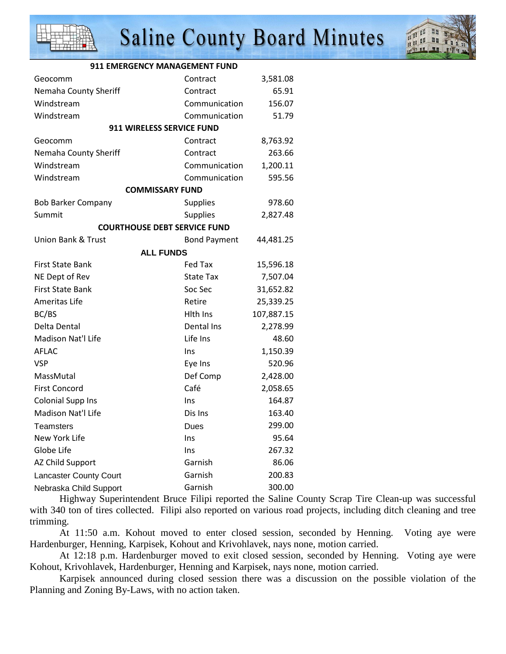



| 911 EMERGENCY MANAGEMENT FUND       |                     |            |
|-------------------------------------|---------------------|------------|
| Geocomm                             | Contract            | 3,581.08   |
| Nemaha County Sheriff               | Contract            | 65.91      |
| Windstream                          | Communication       | 156.07     |
| Windstream                          | Communication       | 51.79      |
| 911 WIRELESS SERVICE FUND           |                     |            |
| Geocomm                             | Contract            | 8,763.92   |
| Nemaha County Sheriff               | Contract            | 263.66     |
| Windstream                          | Communication       | 1,200.11   |
| Windstream                          | Communication       | 595.56     |
| <b>COMMISSARY FUND</b>              |                     |            |
| <b>Bob Barker Company</b>           | Supplies            | 978.60     |
| Summit                              | <b>Supplies</b>     | 2,827.48   |
| <b>COURTHOUSE DEBT SERVICE FUND</b> |                     |            |
| Union Bank & Trust                  | <b>Bond Payment</b> | 44,481.25  |
| <b>ALL FUNDS</b>                    |                     |            |
| <b>First State Bank</b>             | Fed Tax             | 15,596.18  |
| NE Dept of Rev                      | <b>State Tax</b>    | 7,507.04   |
| <b>First State Bank</b>             | Soc Sec             | 31,652.82  |
| Ameritas Life                       | Retire              | 25,339.25  |
| BC/BS                               | Hith Ins            | 107,887.15 |
| Delta Dental                        | Dental Ins          | 2,278.99   |
| Madison Nat'l Life                  | Life Ins            | 48.60      |
| AFLAC                               | Ins                 | 1,150.39   |
| <b>VSP</b>                          | Eye Ins             | 520.96     |
| MassMutal                           | Def Comp            | 2,428.00   |
| <b>First Concord</b>                | Café                | 2,058.65   |
| <b>Colonial Supp Ins</b>            | Ins                 | 164.87     |
| Madison Nat'l Life                  | Dis Ins             | 163.40     |
| Teamsters                           | Dues                | 299.00     |
| New York Life                       | Ins                 | 95.64      |
| Globe Life                          | Ins                 | 267.32     |
| AZ Child Support                    | Garnish             | 86.06      |
| <b>Lancaster County Court</b>       | Garnish             | 200.83     |
| Nebraska Child Support              | Garnish             | 300.00     |

 Highway Superintendent Bruce Filipi reported the Saline County Scrap Tire Clean-up was successful with 340 ton of tires collected. Filipi also reported on various road projects, including ditch cleaning and tree trimming.

 At 11:50 a.m. Kohout moved to enter closed session, seconded by Henning. Voting aye were Hardenburger, Henning, Karpisek, Kohout and Krivohlavek, nays none, motion carried.

 At 12:18 p.m. Hardenburger moved to exit closed session, seconded by Henning. Voting aye were Kohout, Krivohlavek, Hardenburger, Henning and Karpisek, nays none, motion carried.

 Karpisek announced during closed session there was a discussion on the possible violation of the Planning and Zoning By-Laws, with no action taken.